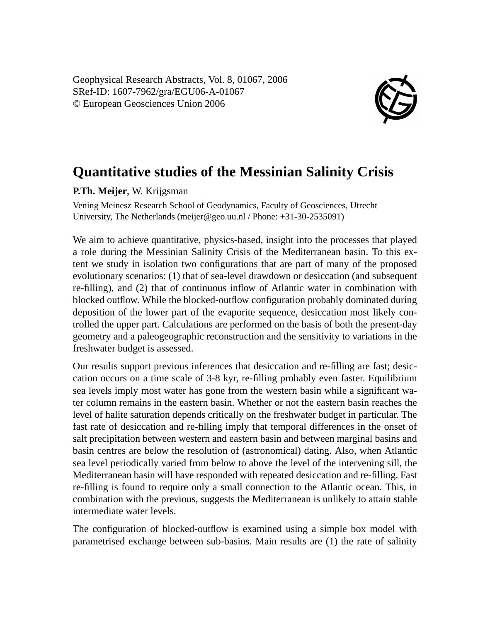Geophysical Research Abstracts, Vol. 8, 01067, 2006 SRef-ID: 1607-7962/gra/EGU06-A-01067 © European Geosciences Union 2006



## **Quantitative studies of the Messinian Salinity Crisis**

**P.Th. Meijer**, W. Krijgsman

Vening Meinesz Research School of Geodynamics, Faculty of Geosciences, Utrecht University, The Netherlands (meijer@geo.uu.nl / Phone: +31-30-2535091)

We aim to achieve quantitative, physics-based, insight into the processes that played a role during the Messinian Salinity Crisis of the Mediterranean basin. To this extent we study in isolation two configurations that are part of many of the proposed evolutionary scenarios: (1) that of sea-level drawdown or desiccation (and subsequent re-filling), and (2) that of continuous inflow of Atlantic water in combination with blocked outflow. While the blocked-outflow configuration probably dominated during deposition of the lower part of the evaporite sequence, desiccation most likely controlled the upper part. Calculations are performed on the basis of both the present-day geometry and a paleogeographic reconstruction and the sensitivity to variations in the freshwater budget is assessed.

Our results support previous inferences that desiccation and re-filling are fast; desiccation occurs on a time scale of 3-8 kyr, re-filling probably even faster. Equilibrium sea levels imply most water has gone from the western basin while a significant water column remains in the eastern basin. Whether or not the eastern basin reaches the level of halite saturation depends critically on the freshwater budget in particular. The fast rate of desiccation and re-filling imply that temporal differences in the onset of salt precipitation between western and eastern basin and between marginal basins and basin centres are below the resolution of (astronomical) dating. Also, when Atlantic sea level periodically varied from below to above the level of the intervening sill, the Mediterranean basin will have responded with repeated desiccation and re-filling. Fast re-filling is found to require only a small connection to the Atlantic ocean. This, in combination with the previous, suggests the Mediterranean is unlikely to attain stable intermediate water levels.

The configuration of blocked-outflow is examined using a simple box model with parametrised exchange between sub-basins. Main results are (1) the rate of salinity